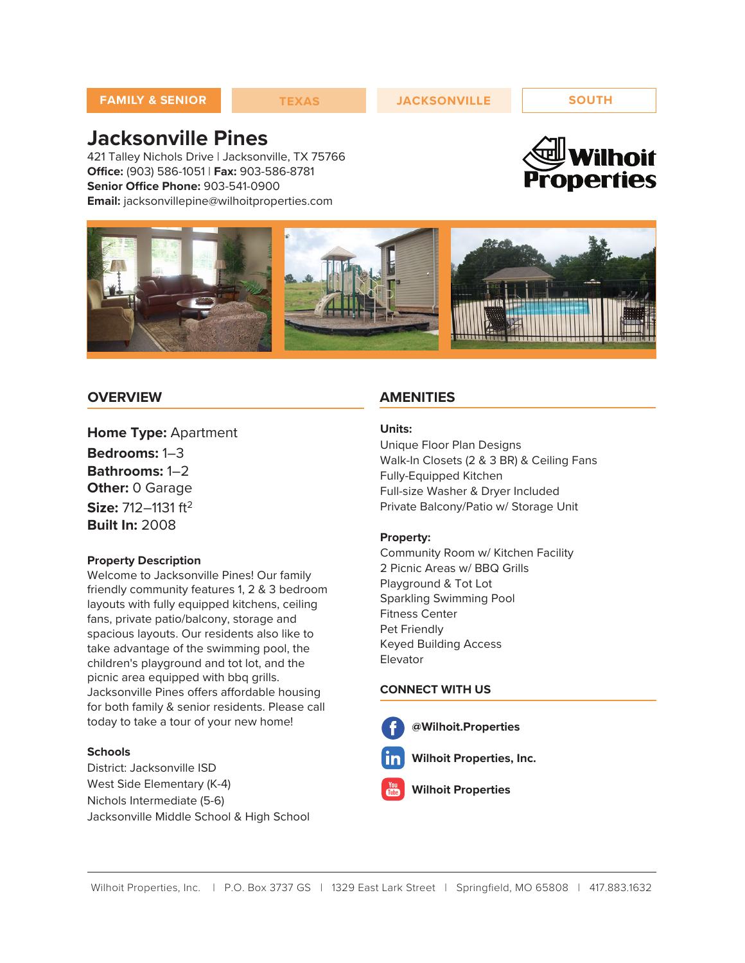# **Jacksonville Pines**

421 Talley Nichols Drive | Jacksonville, TX 75766 **Office:** (903) 586-1051 | **Fax:** 903-586-8781 **Senior Office Phone:** 903-541-0900 **Email:** jacksonvillepine@wilhoitproperties.com





### **OVERVIEW**

**Home Type:** Apartment **Bedrooms:** 1–3 **Bathrooms:** 1–2 **Other:** 0 Garage **Size:** 712–1131 ft<sup>2</sup> **Built In:** 2008

#### **Property Description**

Welcome to Jacksonville Pines! Our family friendly community features 1, 2 & 3 bedroom layouts with fully equipped kitchens, ceiling fans, private patio/balcony, storage and spacious layouts. Our residents also like to take advantage of the swimming pool, the children's playground and tot lot, and the picnic area equipped with bbq grills. Jacksonville Pines offers affordable housing for both family & senior residents. Please call today to take a tour of your new home!

#### **Schools**

District: Jacksonville ISD West Side Elementary (K-4) Nichols Intermediate (5-6) Jacksonville Middle School & High School

#### **AMENITIES**

#### **Units:**

Unique Floor Plan Designs Walk-In Closets (2 & 3 BR) & Ceiling Fans Fully-Equipped Kitchen Full-size Washer & Dryer Included Private Balcony/Patio w/ Storage Unit

#### **Property:**

Community Room w/ Kitchen Facility 2 Picnic Areas w/ BBQ Grills Playground & Tot Lot Sparkling Swimming Pool Fitness Center Pet Friendly Keyed Building Access Elevator

#### **CONNECT WITH US**

- **@Wilhoit.Properties**
	- **Wilhoit Properties, Inc.**
	- **Wilhoit Properties**